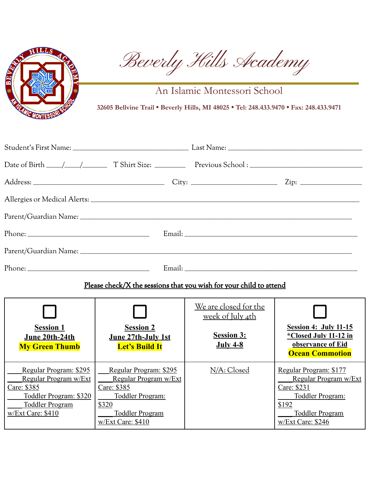

Beverly Hills Academy

An Islamic Montessori School

**32605 Bellvine Trail • Beverly Hills, MI 48025 • Tel: 248.433.9470 • Fax: 248.433.9471**

| Please check/X the sessions that you wish for your child to attend                                                                      |                                                                                                                                            |                                                         |                                                                                                                                            |  |
|-----------------------------------------------------------------------------------------------------------------------------------------|--------------------------------------------------------------------------------------------------------------------------------------------|---------------------------------------------------------|--------------------------------------------------------------------------------------------------------------------------------------------|--|
|                                                                                                                                         |                                                                                                                                            | <u>We are closed for the</u><br><u>week of July 4th</u> |                                                                                                                                            |  |
| <b>Session 1</b><br>June 20th-24th<br><b>My Green Thumb</b>                                                                             | <b>Session 2</b><br>June 27th-July 1st<br><b>Let's Build It</b>                                                                            | <b>Session 3:</b><br><b>July 4-8</b>                    | <b>Session 4: July 11-15</b><br><i>*Closed July 11-12 in</i><br>observance of Eid<br><b>Ocean Commotion</b>                                |  |
| Regular Program: \$295<br>Regular Program w/Ext<br>Care: \$385<br>Toddler Program: \$320<br><b>Toddler Program</b><br>w/Ext Care: \$410 | Regular Program: \$295<br>Regular Program w/Ext<br>Care: \$385<br>Toddler Program:<br>\$320<br><b>Toddler Program</b><br>w/Ext Care: \$410 | N/A: Closed                                             | Regular Program: \$177<br>Regular Program w/Ext<br>Care: \$231<br>Toddler Program:<br>\$192<br><b>Toddler Program</b><br>w/Ext Care: \$246 |  |